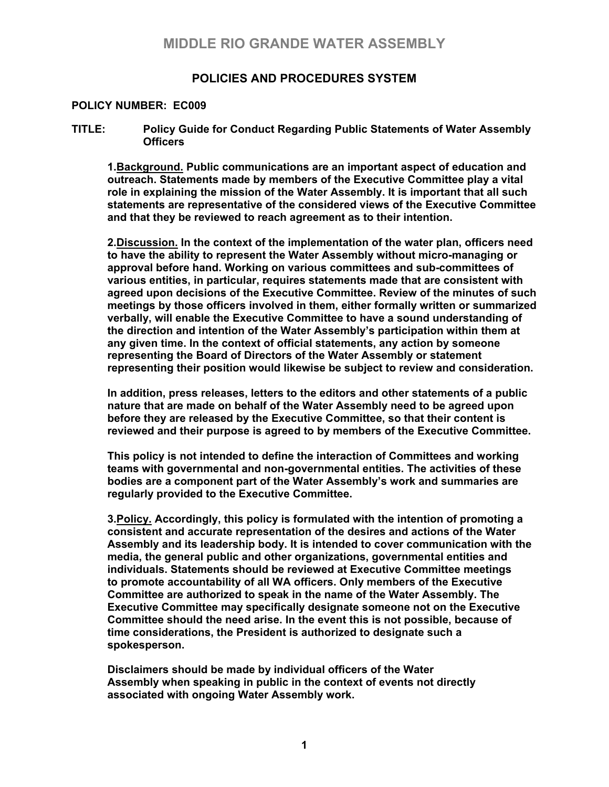## **MIDDLE RIO GRANDE WATER ASSEMBLY**

### **POLICIES AND PROCEDURES SYSTEM**

#### **POLICY NUMBER: EC009**

#### **TITLE: Policy Guide for Conduct Regarding Public Statements of Water Assembly Officers**

**1.Background. Public communications are an important aspect of education and outreach. Statements made by members of the Executive Committee play a vital role in explaining the mission of the Water Assembly. It is important that all such statements are representative of the considered views of the Executive Committee and that they be reviewed to reach agreement as to their intention.** 

**2.Discussion. In the context of the implementation of the water plan, officers need to have the ability to represent the Water Assembly without micro-managing or approval before hand. Working on various committees and sub-committees of various entities, in particular, requires statements made that are consistent with agreed upon decisions of the Executive Committee. Review of the minutes of such meetings by those officers involved in them, either formally written or summarized verbally, will enable the Executive Committee to have a sound understanding of the direction and intention of the Water Assembly's participation within them at any given time. In the context of official statements, any action by someone representing the Board of Directors of the Water Assembly or statement representing their position would likewise be subject to review and consideration.** 

**In addition, press releases, letters to the editors and other statements of a public nature that are made on behalf of the Water Assembly need to be agreed upon before they are released by the Executive Committee, so that their content is reviewed and their purpose is agreed to by members of the Executive Committee.** 

**This policy is not intended to define the interaction of Committees and working teams with governmental and non-governmental entities. The activities of these bodies are a component part of the Water Assembly's work and summaries are regularly provided to the Executive Committee.** 

**3.Policy. Accordingly, this policy is formulated with the intention of promoting a consistent and accurate representation of the desires and actions of the Water Assembly and its leadership body. It is intended to cover communication with the media, the general public and other organizations, governmental entities and individuals. Statements should be reviewed at Executive Committee meetings to promote accountability of all WA officers. Only members of the Executive Committee are authorized to speak in the name of the Water Assembly. The Executive Committee may specifically designate someone not on the Executive Committee should the need arise. In the event this is not possible, because of time considerations, the President is authorized to designate such a spokesperson.** 

**Disclaimers should be made by individual officers of the Water Assembly when speaking in public in the context of events not directly associated with ongoing Water Assembly work.**